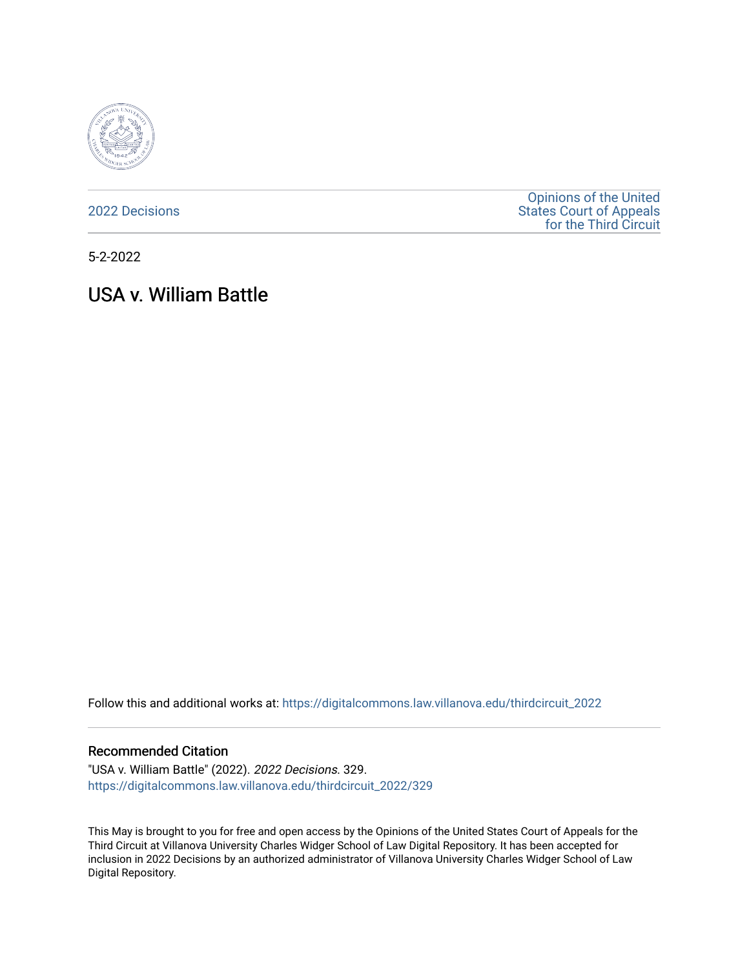

[2022 Decisions](https://digitalcommons.law.villanova.edu/thirdcircuit_2022)

[Opinions of the United](https://digitalcommons.law.villanova.edu/thirdcircuit)  [States Court of Appeals](https://digitalcommons.law.villanova.edu/thirdcircuit)  [for the Third Circuit](https://digitalcommons.law.villanova.edu/thirdcircuit) 

5-2-2022

# USA v. William Battle

Follow this and additional works at: [https://digitalcommons.law.villanova.edu/thirdcircuit\\_2022](https://digitalcommons.law.villanova.edu/thirdcircuit_2022?utm_source=digitalcommons.law.villanova.edu%2Fthirdcircuit_2022%2F329&utm_medium=PDF&utm_campaign=PDFCoverPages) 

#### Recommended Citation

"USA v. William Battle" (2022). 2022 Decisions. 329. [https://digitalcommons.law.villanova.edu/thirdcircuit\\_2022/329](https://digitalcommons.law.villanova.edu/thirdcircuit_2022/329?utm_source=digitalcommons.law.villanova.edu%2Fthirdcircuit_2022%2F329&utm_medium=PDF&utm_campaign=PDFCoverPages)

This May is brought to you for free and open access by the Opinions of the United States Court of Appeals for the Third Circuit at Villanova University Charles Widger School of Law Digital Repository. It has been accepted for inclusion in 2022 Decisions by an authorized administrator of Villanova University Charles Widger School of Law Digital Repository.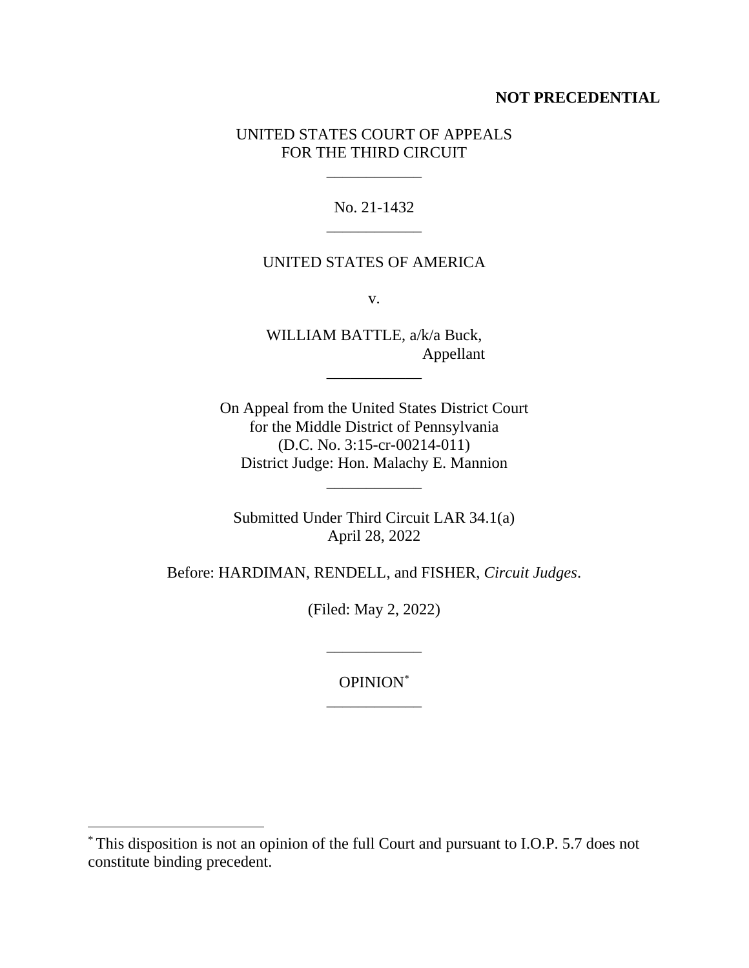# **NOT PRECEDENTIAL**

# UNITED STATES COURT OF APPEALS FOR THE THIRD CIRCUIT

\_\_\_\_\_\_\_\_\_\_\_\_

No. 21-1432 \_\_\_\_\_\_\_\_\_\_\_\_

## UNITED STATES OF AMERICA

v.

WILLIAM BATTLE, a/k/a Buck, Appellant

\_\_\_\_\_\_\_\_\_\_\_\_

On Appeal from the United States District Court for the Middle District of Pennsylvania (D.C. No. 3:15-cr-00214-011) District Judge: Hon. Malachy E. Mannion

\_\_\_\_\_\_\_\_\_\_\_\_

Submitted Under Third Circuit LAR 34.1(a) April 28, 2022

Before: HARDIMAN, RENDELL, and FISHER, *Circuit Judges*.

(Filed: May 2, 2022)

OPINION\* \_\_\_\_\_\_\_\_\_\_\_\_

\_\_\_\_\_\_\_\_\_\_\_\_

<sup>\*</sup> This disposition is not an opinion of the full Court and pursuant to I.O.P. 5.7 does not constitute binding precedent.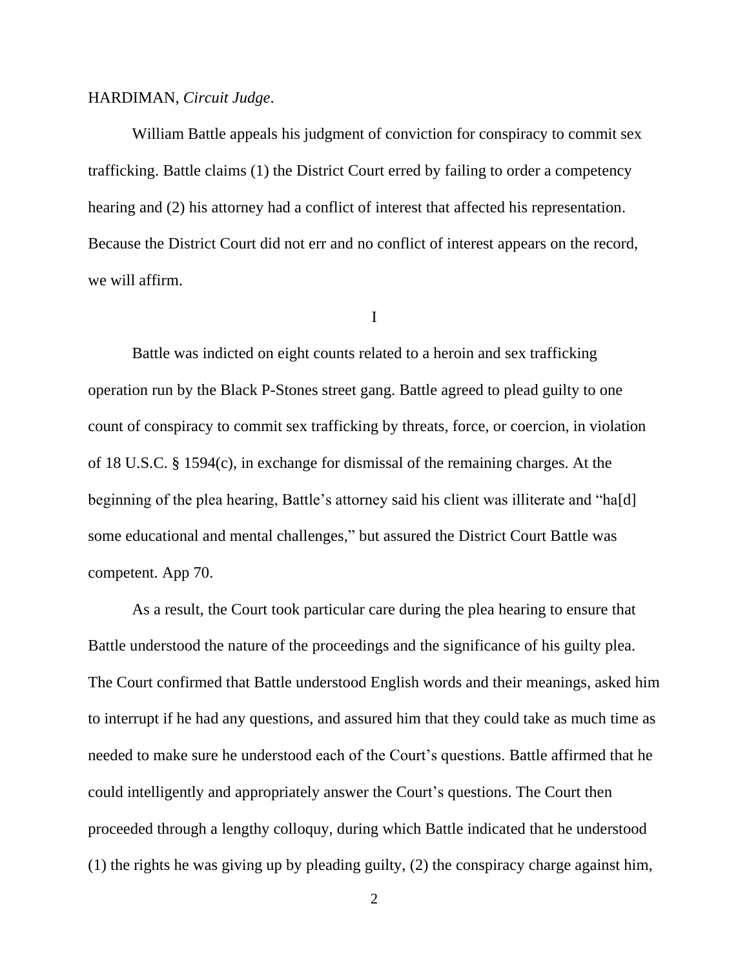#### HARDIMAN, *Circuit Judge*.

William Battle appeals his judgment of conviction for conspiracy to commit sex trafficking. Battle claims (1) the District Court erred by failing to order a competency hearing and (2) his attorney had a conflict of interest that affected his representation. Because the District Court did not err and no conflict of interest appears on the record, we will affirm.

I

Battle was indicted on eight counts related to a heroin and sex trafficking operation run by the Black P-Stones street gang. Battle agreed to plead guilty to one count of conspiracy to commit sex trafficking by threats, force, or coercion, in violation of 18 U.S.C. § 1594(c), in exchange for dismissal of the remaining charges. At the beginning of the plea hearing, Battle's attorney said his client was illiterate and "ha[d] some educational and mental challenges," but assured the District Court Battle was competent. App 70.

As a result, the Court took particular care during the plea hearing to ensure that Battle understood the nature of the proceedings and the significance of his guilty plea. The Court confirmed that Battle understood English words and their meanings, asked him to interrupt if he had any questions, and assured him that they could take as much time as needed to make sure he understood each of the Court's questions. Battle affirmed that he could intelligently and appropriately answer the Court's questions. The Court then proceeded through a lengthy colloquy, during which Battle indicated that he understood (1) the rights he was giving up by pleading guilty, (2) the conspiracy charge against him,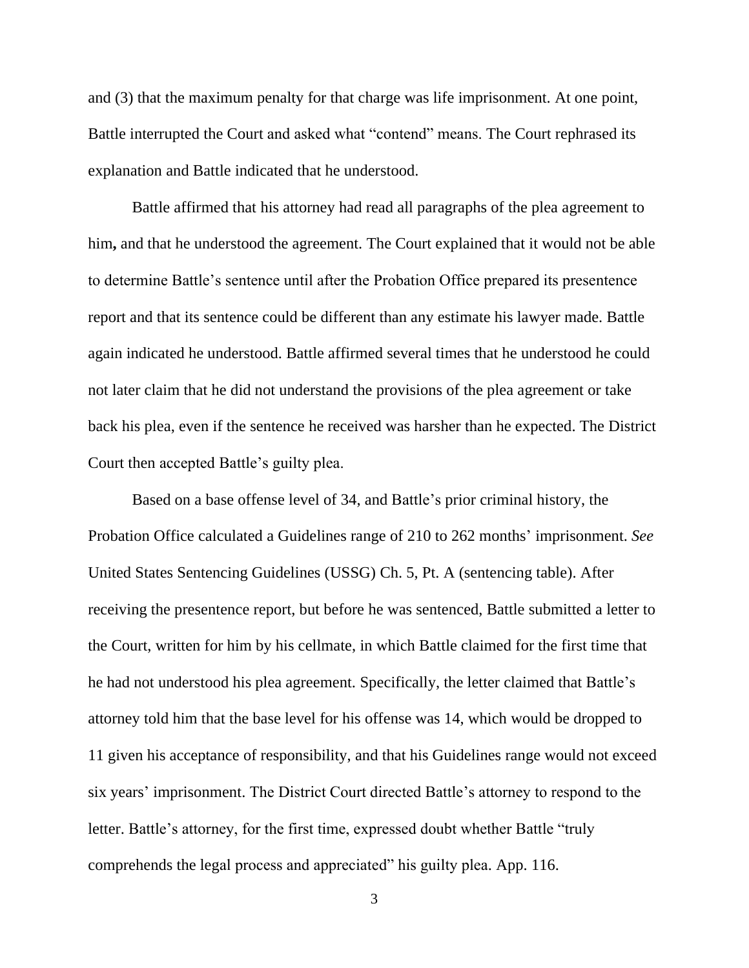and (3) that the maximum penalty for that charge was life imprisonment. At one point, Battle interrupted the Court and asked what "contend" means. The Court rephrased its explanation and Battle indicated that he understood.

Battle affirmed that his attorney had read all paragraphs of the plea agreement to him**,** and that he understood the agreement. The Court explained that it would not be able to determine Battle's sentence until after the Probation Office prepared its presentence report and that its sentence could be different than any estimate his lawyer made. Battle again indicated he understood. Battle affirmed several times that he understood he could not later claim that he did not understand the provisions of the plea agreement or take back his plea, even if the sentence he received was harsher than he expected. The District Court then accepted Battle's guilty plea.

Based on a base offense level of 34, and Battle's prior criminal history, the Probation Office calculated a Guidelines range of 210 to 262 months' imprisonment. *See*  United States Sentencing Guidelines (USSG) Ch. 5, Pt. A (sentencing table). After receiving the presentence report, but before he was sentenced, Battle submitted a letter to the Court, written for him by his cellmate, in which Battle claimed for the first time that he had not understood his plea agreement. Specifically, the letter claimed that Battle's attorney told him that the base level for his offense was 14, which would be dropped to 11 given his acceptance of responsibility, and that his Guidelines range would not exceed six years' imprisonment. The District Court directed Battle's attorney to respond to the letter. Battle's attorney, for the first time, expressed doubt whether Battle "truly comprehends the legal process and appreciated" his guilty plea. App. 116.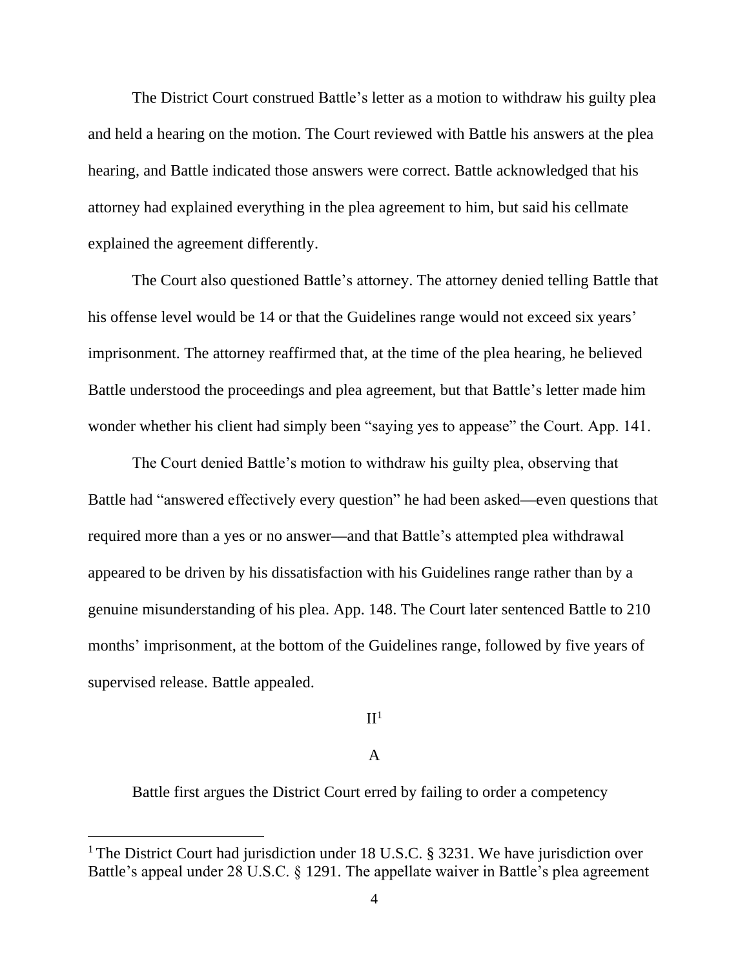The District Court construed Battle's letter as a motion to withdraw his guilty plea and held a hearing on the motion. The Court reviewed with Battle his answers at the plea hearing, and Battle indicated those answers were correct. Battle acknowledged that his attorney had explained everything in the plea agreement to him, but said his cellmate explained the agreement differently.

The Court also questioned Battle's attorney. The attorney denied telling Battle that his offense level would be 14 or that the Guidelines range would not exceed six years' imprisonment. The attorney reaffirmed that, at the time of the plea hearing, he believed Battle understood the proceedings and plea agreement, but that Battle's letter made him wonder whether his client had simply been "saying yes to appease" the Court. App. 141.

The Court denied Battle's motion to withdraw his guilty plea, observing that Battle had "answered effectively every question" he had been asked**—**even questions that required more than a yes or no answer**—**and that Battle's attempted plea withdrawal appeared to be driven by his dissatisfaction with his Guidelines range rather than by a genuine misunderstanding of his plea. App. 148. The Court later sentenced Battle to 210 months' imprisonment, at the bottom of the Guidelines range, followed by five years of supervised release. Battle appealed.

### $\Pi^1$

## A

Battle first argues the District Court erred by failing to order a competency

<sup>&</sup>lt;sup>1</sup> The District Court had jurisdiction under 18 U.S.C. § 3231. We have jurisdiction over Battle's appeal under 28 U.S.C. § 1291. The appellate waiver in Battle's plea agreement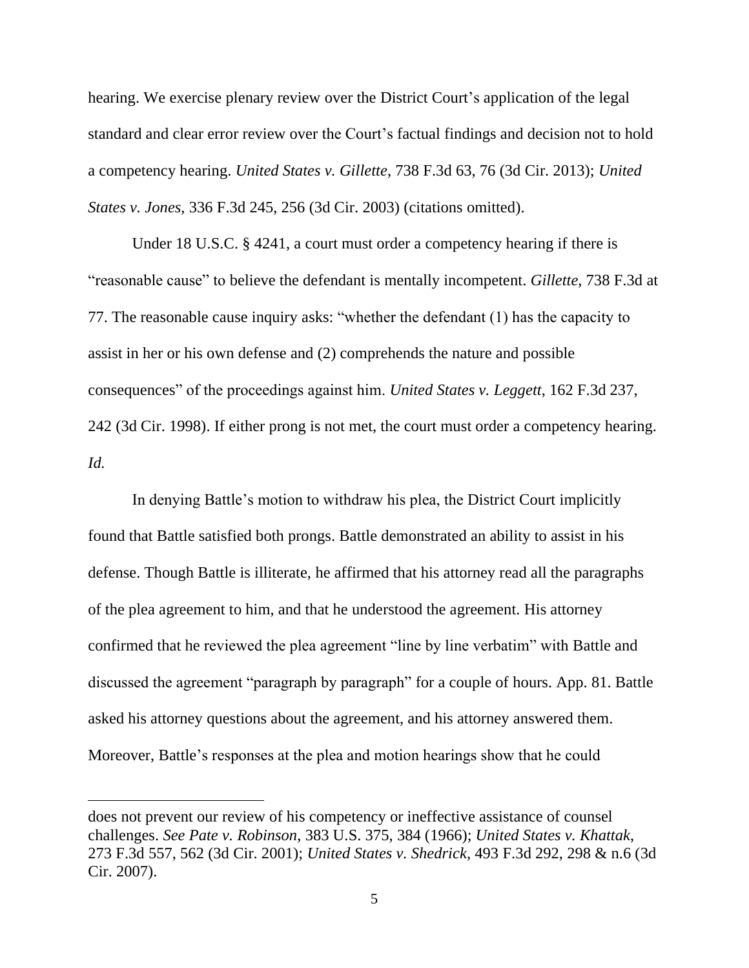hearing. We exercise plenary review over the District Court's application of the legal standard and clear error review over the Court's factual findings and decision not to hold a competency hearing. *United States v. Gillette*, 738 F.3d 63, 76 (3d Cir. 2013); *United States v. Jones*, 336 F.3d 245, 256 (3d Cir. 2003) (citations omitted).

Under 18 U.S.C. § 4241, a court must order a competency hearing if there is "reasonable cause" to believe the defendant is mentally incompetent. *Gillette*, 738 F.3d at 77. The reasonable cause inquiry asks: "whether the defendant (1) has the capacity to assist in her or his own defense and (2) comprehends the nature and possible consequences" of the proceedings against him. *United States v. Leggett*, 162 F.3d 237, 242 (3d Cir. 1998). If either prong is not met, the court must order a competency hearing. *Id.*

In denying Battle's motion to withdraw his plea, the District Court implicitly found that Battle satisfied both prongs. Battle demonstrated an ability to assist in his defense. Though Battle is illiterate, he affirmed that his attorney read all the paragraphs of the plea agreement to him, and that he understood the agreement. His attorney confirmed that he reviewed the plea agreement "line by line verbatim" with Battle and discussed the agreement "paragraph by paragraph" for a couple of hours. App. 81. Battle asked his attorney questions about the agreement, and his attorney answered them. Moreover, Battle's responses at the plea and motion hearings show that he could

does not prevent our review of his competency or ineffective assistance of counsel challenges. *See Pate v. Robinson*, 383 U.S. 375, 384 (1966); *United States v. Khattak*, 273 F.3d 557, 562 (3d Cir. 2001); *United States v. Shedrick*, 493 F.3d 292, 298 & n.6 (3d Cir. 2007).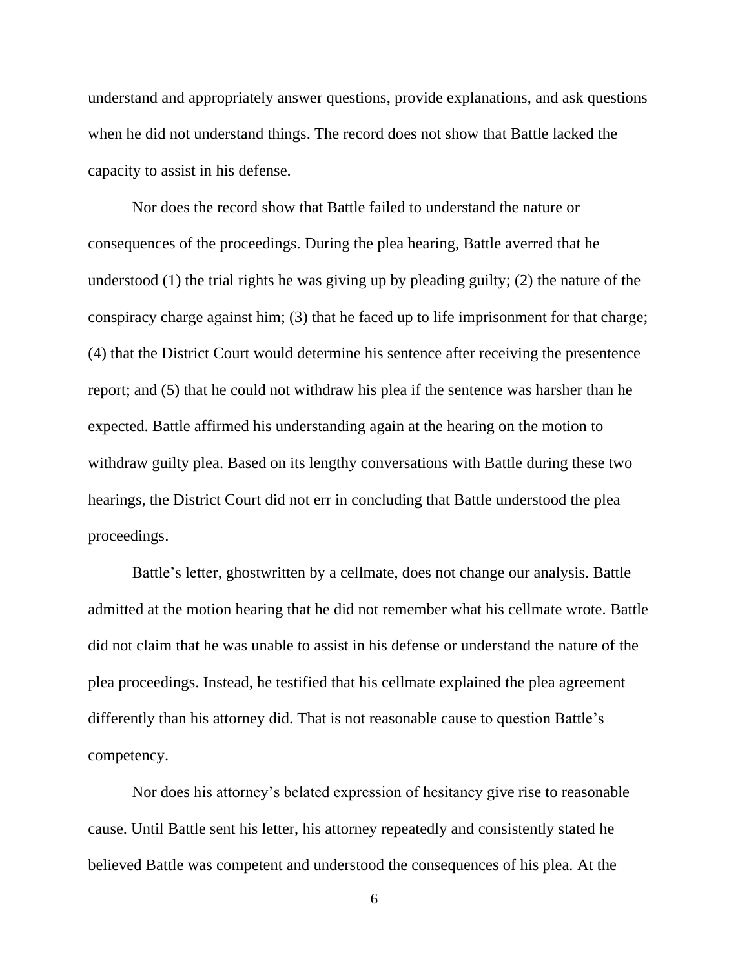understand and appropriately answer questions, provide explanations, and ask questions when he did not understand things. The record does not show that Battle lacked the capacity to assist in his defense.

Nor does the record show that Battle failed to understand the nature or consequences of the proceedings. During the plea hearing, Battle averred that he understood (1) the trial rights he was giving up by pleading guilty; (2) the nature of the conspiracy charge against him; (3) that he faced up to life imprisonment for that charge; (4) that the District Court would determine his sentence after receiving the presentence report; and (5) that he could not withdraw his plea if the sentence was harsher than he expected. Battle affirmed his understanding again at the hearing on the motion to withdraw guilty plea. Based on its lengthy conversations with Battle during these two hearings, the District Court did not err in concluding that Battle understood the plea proceedings.

Battle's letter, ghostwritten by a cellmate, does not change our analysis. Battle admitted at the motion hearing that he did not remember what his cellmate wrote. Battle did not claim that he was unable to assist in his defense or understand the nature of the plea proceedings. Instead, he testified that his cellmate explained the plea agreement differently than his attorney did. That is not reasonable cause to question Battle's competency.

Nor does his attorney's belated expression of hesitancy give rise to reasonable cause. Until Battle sent his letter, his attorney repeatedly and consistently stated he believed Battle was competent and understood the consequences of his plea. At the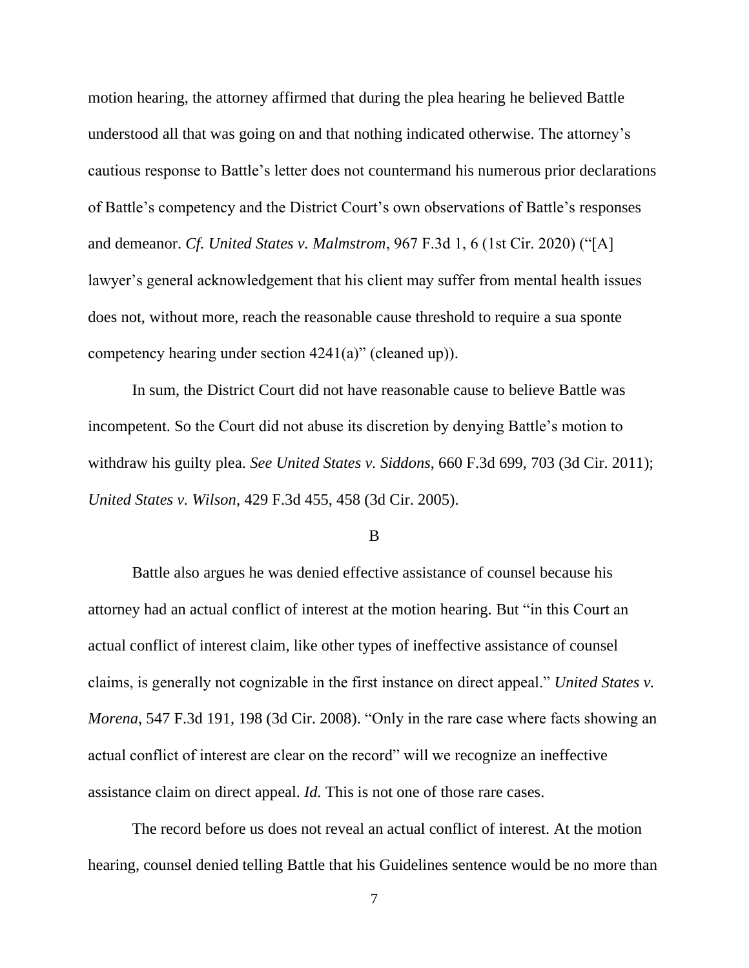motion hearing, the attorney affirmed that during the plea hearing he believed Battle understood all that was going on and that nothing indicated otherwise. The attorney's cautious response to Battle's letter does not countermand his numerous prior declarations of Battle's competency and the District Court's own observations of Battle's responses and demeanor. *Cf. United States v. Malmstrom*, 967 F.3d 1, 6 (1st Cir. 2020) ("[A] lawyer's general acknowledgement that his client may suffer from mental health issues does not, without more, reach the reasonable cause threshold to require a sua sponte competency hearing under section 4241(a)" (cleaned up)).

In sum, the District Court did not have reasonable cause to believe Battle was incompetent. So the Court did not abuse its discretion by denying Battle's motion to withdraw his guilty plea. *See United States v. Siddons*, 660 F.3d 699, 703 (3d Cir. 2011); *United States v. Wilson*, 429 F.3d 455, 458 (3d Cir. 2005).

B

Battle also argues he was denied effective assistance of counsel because his attorney had an actual conflict of interest at the motion hearing. But "in this Court an actual conflict of interest claim, like other types of ineffective assistance of counsel claims, is generally not cognizable in the first instance on direct appeal." *United States v. Morena*, 547 F.3d 191, 198 (3d Cir. 2008). "Only in the rare case where facts showing an actual conflict of interest are clear on the record" will we recognize an ineffective assistance claim on direct appeal. *Id.* This is not one of those rare cases.

The record before us does not reveal an actual conflict of interest. At the motion hearing, counsel denied telling Battle that his Guidelines sentence would be no more than